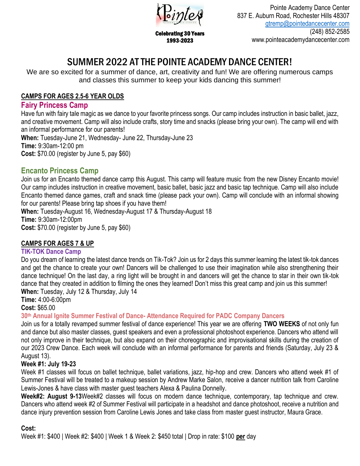

Celebrating 30 Years 1993-2023

Pointe Academy Dance Center 837 E. Auburn Road, Rochester Hills 48307 [gtremp@pointedancecenter.com](mailto:gtremp@pointedancecenter.com) (248) 852-2585 www.pointeacademydancecenter.com

3

# SUMMER 2022 AT THE POINTE ACADEMY DANCE CENTER!

We are so excited for a summer of dance, art, creativity and fun! We are offering numerous camps and classes this summer to keep your kids dancing this summer!

# **CAMPS FOR AGES 2.5-6 YEAR OLDS**

# **Fairy Princess Camp**

Have fun with fairy tale magic as we dance to your favorite princess songs. Our camp includes instruction in basic ballet, jazz, and creative movement. Camp will also include crafts, story time and snacks (please bring your own). The camp will end with an informal performance for our parents! **When:** Tuesday-June 21, Wednesday- June 22, Thursday-June 23 **Time:** 9:30am-12:00 pm

**Cost:** \$70.00 (register by June 5, pay \$60)

# **Encanto Princess Camp**

Join us for an Encanto themed dance camp this August. This camp will feature music from the new Disney Encanto movie! Our camp includes instruction in creative movement, basic ballet, basic jazz and basic tap technique. Camp will also include Encanto themed dance games, craft and snack time (please pack your own). Camp will conclude with an informal showing for our parents! Please bring tap shoes if you have them!

**When:** Tuesday-August 16, Wednesday-August 17 & Thursday-August 18

**Time:** 9:30am-12:00pm

**Cost:** \$70.00 (register by June 5, pay \$60)

# **CAMPS FOR AGES 7 & UP**

## **TIK-TOK Dance Camp**

Do you dream of learning the latest dance trends on Tik-Tok? Join us for 2 days this summer learning the latest tik-tok dances and get the chance to create your own! Dancers will be challenged to use their imagination while also strengthening their dance technique! On the last day, a ring light will be brought in and dancers will get the chance to star in their own tik-tok dance that they created in addition to filming the ones they learned! Don't miss this great camp and join us this summer! **When:** Tuesday, July 12 & Thursday, July 14

**Time:** 4:00-6:00pm

**Cost:** \$65.00

**30th Annual Ignite Summer Festival of Dance- Attendance Required for PADC Company Dancers**

Join us for a totally revamped summer festival of dance experience! This year we are offering **TWO WEEKS** of not only fun and dance but also master classes, guest speakers and even a professional photoshoot experience. Dancers who attend will not only improve in their technique, but also expand on their choreographic and improvisational skills during the creation of our 2023 Crew Dance. Each week will conclude with an informal performance for parents and friends (Saturday, July 23 & August 13).

# **Week #1: July 19-23**

Week #1 classes will focus on ballet technique, ballet variations, jazz, hip-hop and crew. Dancers who attend week #1 of Summer Festival will be treated to a makeup session by Andrew Marke Salon, receive a dancer nutrition talk from Caroline Lewis-Jones & have class with master guest teachers Alexa & Paulina Donnelly.

**Week#2: August 9-13**Week#2 classes will focus on modern dance technique, contemporary, tap technique and crew. Dancers who attend week #2 of Summer Festival will participate in a headshot and dance photoshoot, receive a nutrition and dance injury prevention session from Caroline Lewis Jones and take class from master guest instructor, Maura Grace.

## **Cost:**

Week #1: \$400 | Week #2: \$400 | Week 1 & Week 2: \$450 total | Drop in rate: \$100 **per** day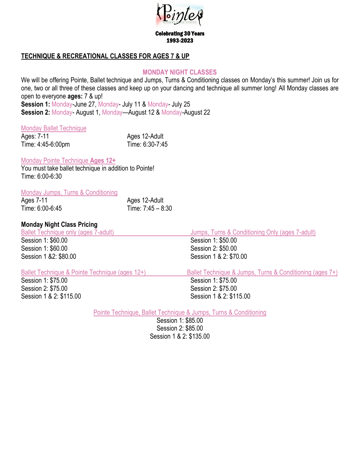

Celebrating 30 Years 1993-2023

## **TECHNIQUE & RECREATIONAL CLASSES FOR AGES 7 & UP**

#### **MONDAY NIGHT CLASSES**

We will be offering Pointe, Ballet technique and Jumps, Turns & Conditioning classes on Monday's this summer! Join us for one, two or all three of these classes and keep up on your dancing and technique all summer long! All Monday classes are open to everyone **ages:** 7 & up!

**Session 1:** Monday-June 27, Monday- July 11 & Monday- July 25 **Session 2:** Monday- August 1, Monday—August 12 & Monday-August 22

#### Monday Ballet Technique

| Ages: 7-11        | Ages 12-Adult   |
|-------------------|-----------------|
| Time: 4:45-6:00pm | Time: 6:30-7:45 |

#### Monday Pointe Technique **Ages 12+**

You must take ballet technique in addition to Pointe! Time: 6:00-6:30

#### Monday Jumps, Turns & Conditioning

| Ages 7-11       | Ages 12-Adult     |
|-----------------|-------------------|
| Time: 6:00-6:45 | Time: 7:45 - 8:30 |

## **Monday Night Class Pricing**

Session 1: \$60.00 Session 1: \$60.00 Session 2: \$50.00 Session 1 & 2: \$80.00 Session 1 & 2: \$70.00

Session 1: \$75.00 Session 1: \$75.00 Session 2: \$75.00 Session 2: \$75.00 Session 1 & 2: \$115.00 Session 1 & 2: \$115.00

Ballet Technique only (ages 7-adult) Jumps, Turns & Conditioning Only (ages 7-adult)<br>
Session 1: \$60.00<br>
Session 1: \$50.00

Ballet Technique & Pointe Technique (ages 12+) Ballet Technique & Jumps, Turns & Conditioning (ages 7+)

Pointe Technique, Ballet Technique & Jumps, Turns & Conditioning

Session 1: \$85.00 Session 2: \$85.00 Session 1 & 2: \$135.00